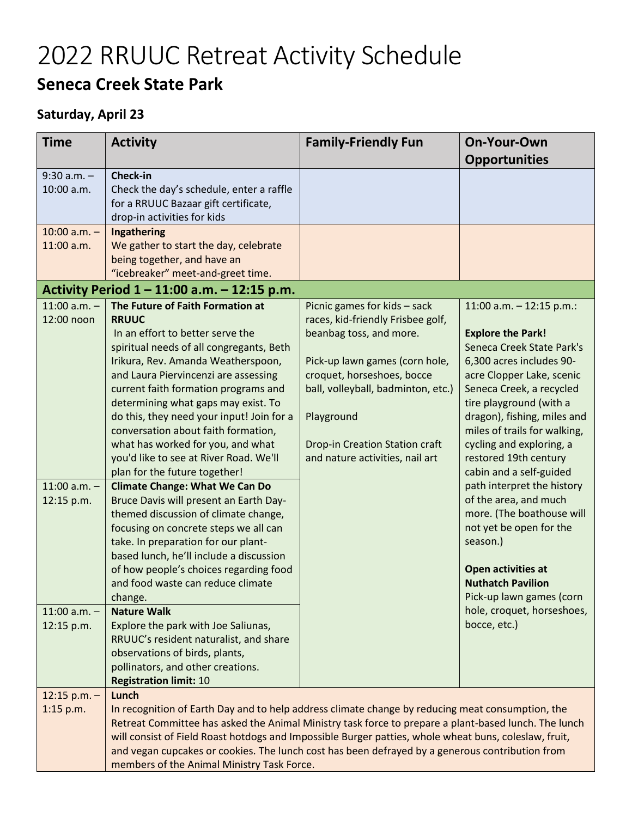## 2022 RRUUC Retreat Activity Schedule **Seneca Creek State Park**

## **Saturday, April 23**

| <b>Time</b>                                                    | <b>Activity</b>                                                                                                                                                                                                                                                                                                                                                                                                                                                                                                                                                                      | <b>Family-Friendly Fun</b>                                                                                                                                                                                                                                                                   | On-Your-Own                                                                                                                                                                                                                                                                                                                                                                                              |
|----------------------------------------------------------------|--------------------------------------------------------------------------------------------------------------------------------------------------------------------------------------------------------------------------------------------------------------------------------------------------------------------------------------------------------------------------------------------------------------------------------------------------------------------------------------------------------------------------------------------------------------------------------------|----------------------------------------------------------------------------------------------------------------------------------------------------------------------------------------------------------------------------------------------------------------------------------------------|----------------------------------------------------------------------------------------------------------------------------------------------------------------------------------------------------------------------------------------------------------------------------------------------------------------------------------------------------------------------------------------------------------|
|                                                                |                                                                                                                                                                                                                                                                                                                                                                                                                                                                                                                                                                                      |                                                                                                                                                                                                                                                                                              | <b>Opportunities</b>                                                                                                                                                                                                                                                                                                                                                                                     |
| $9:30$ a.m. $-$<br>10:00 a.m.                                  | <b>Check-in</b><br>Check the day's schedule, enter a raffle<br>for a RRUUC Bazaar gift certificate,<br>drop-in activities for kids                                                                                                                                                                                                                                                                                                                                                                                                                                                   |                                                                                                                                                                                                                                                                                              |                                                                                                                                                                                                                                                                                                                                                                                                          |
| $10:00$ a.m. $-$<br>11:00 a.m.                                 | Ingathering<br>We gather to start the day, celebrate<br>being together, and have an<br>"icebreaker" meet-and-greet time.                                                                                                                                                                                                                                                                                                                                                                                                                                                             |                                                                                                                                                                                                                                                                                              |                                                                                                                                                                                                                                                                                                                                                                                                          |
|                                                                | Activity Period $1 - 11:00$ a.m. $- 12:15$ p.m.                                                                                                                                                                                                                                                                                                                                                                                                                                                                                                                                      |                                                                                                                                                                                                                                                                                              |                                                                                                                                                                                                                                                                                                                                                                                                          |
| $11:00$ a.m. -<br>12:00 noon<br>$11:00$ a.m. $-$<br>12:15 p.m. | The Future of Faith Formation at<br><b>RRUUC</b><br>In an effort to better serve the<br>spiritual needs of all congregants, Beth<br>Irikura, Rev. Amanda Weatherspoon,<br>and Laura Piervincenzi are assessing<br>current faith formation programs and<br>determining what gaps may exist. To<br>do this, they need your input! Join for a<br>conversation about faith formation,<br>what has worked for you, and what<br>you'd like to see at River Road. We'll<br>plan for the future together!<br><b>Climate Change: What We Can Do</b><br>Bruce Davis will present an Earth Day- | Picnic games for kids - sack<br>races, kid-friendly Frisbee golf,<br>beanbag toss, and more.<br>Pick-up lawn games (corn hole,<br>croquet, horseshoes, bocce<br>ball, volleyball, badminton, etc.)<br>Playground<br><b>Drop-in Creation Station craft</b><br>and nature activities, nail art | 11:00 a.m. $-12:15$ p.m.:<br><b>Explore the Park!</b><br>Seneca Creek State Park's<br>6,300 acres includes 90-<br>acre Clopper Lake, scenic<br>Seneca Creek, a recycled<br>tire playground (with a<br>dragon), fishing, miles and<br>miles of trails for walking,<br>cycling and exploring, a<br>restored 19th century<br>cabin and a self-guided<br>path interpret the history<br>of the area, and much |
| $11:00$ a.m. $-$                                               | themed discussion of climate change,<br>focusing on concrete steps we all can<br>take. In preparation for our plant-<br>based lunch, he'll include a discussion<br>of how people's choices regarding food<br>and food waste can reduce climate<br>change.<br><b>Nature Walk</b>                                                                                                                                                                                                                                                                                                      |                                                                                                                                                                                                                                                                                              | more. (The boathouse will<br>not yet be open for the<br>season.)<br>Open activities at<br><b>Nuthatch Pavilion</b><br>Pick-up lawn games (corn<br>hole, croquet, horseshoes,                                                                                                                                                                                                                             |
| 12:15 p.m.                                                     | Explore the park with Joe Saliunas,<br>RRUUC's resident naturalist, and share<br>observations of birds, plants,<br>pollinators, and other creations.<br><b>Registration limit: 10</b>                                                                                                                                                                                                                                                                                                                                                                                                |                                                                                                                                                                                                                                                                                              | bocce, etc.)                                                                                                                                                                                                                                                                                                                                                                                             |
| $12:15$ p.m. -<br>$1:15$ p.m.                                  | Lunch<br>In recognition of Earth Day and to help address climate change by reducing meat consumption, the<br>Retreat Committee has asked the Animal Ministry task force to prepare a plant-based lunch. The lunch<br>will consist of Field Roast hotdogs and Impossible Burger patties, whole wheat buns, coleslaw, fruit,<br>and vegan cupcakes or cookies. The lunch cost has been defrayed by a generous contribution from<br>members of the Animal Ministry Task Force.                                                                                                          |                                                                                                                                                                                                                                                                                              |                                                                                                                                                                                                                                                                                                                                                                                                          |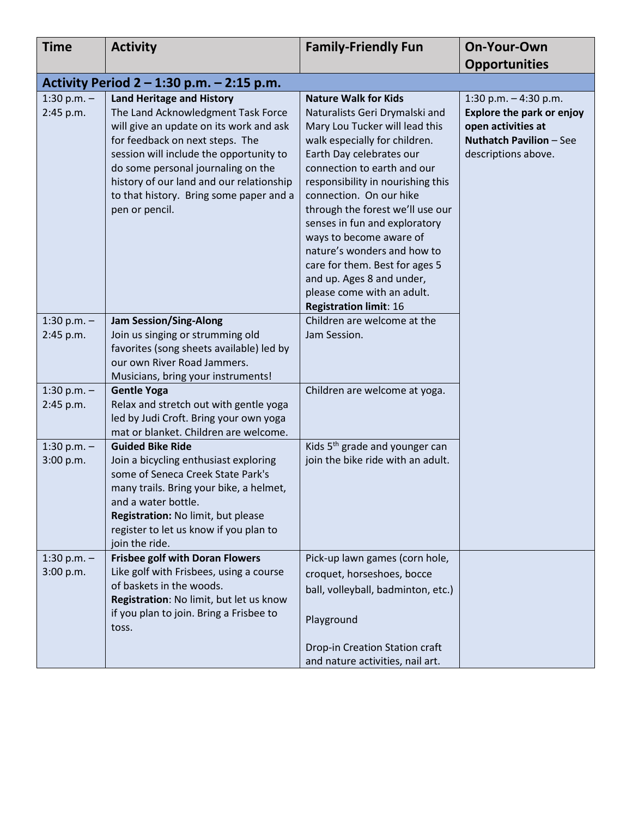| <b>Time</b>                | <b>Activity</b>                                                                                                                                                                                                                                                                                                                                | <b>Family-Friendly Fun</b>                                                                                                                                                                                                                                                                                                                                                                                                                                                                                               | On-Your-Own                                                                                                                         |
|----------------------------|------------------------------------------------------------------------------------------------------------------------------------------------------------------------------------------------------------------------------------------------------------------------------------------------------------------------------------------------|--------------------------------------------------------------------------------------------------------------------------------------------------------------------------------------------------------------------------------------------------------------------------------------------------------------------------------------------------------------------------------------------------------------------------------------------------------------------------------------------------------------------------|-------------------------------------------------------------------------------------------------------------------------------------|
|                            |                                                                                                                                                                                                                                                                                                                                                |                                                                                                                                                                                                                                                                                                                                                                                                                                                                                                                          | <b>Opportunities</b>                                                                                                                |
|                            | Activity Period $2 - 1:30$ p.m. $- 2:15$ p.m.                                                                                                                                                                                                                                                                                                  |                                                                                                                                                                                                                                                                                                                                                                                                                                                                                                                          |                                                                                                                                     |
| 1:30 p.m. $-$<br>2:45 p.m. | <b>Land Heritage and History</b><br>The Land Acknowledgment Task Force<br>will give an update on its work and ask<br>for feedback on next steps. The<br>session will include the opportunity to<br>do some personal journaling on the<br>history of our land and our relationship<br>to that history. Bring some paper and a<br>pen or pencil. | <b>Nature Walk for Kids</b><br>Naturalists Geri Drymalski and<br>Mary Lou Tucker will lead this<br>walk especially for children.<br>Earth Day celebrates our<br>connection to earth and our<br>responsibility in nourishing this<br>connection. On our hike<br>through the forest we'll use our<br>senses in fun and exploratory<br>ways to become aware of<br>nature's wonders and how to<br>care for them. Best for ages 5<br>and up. Ages 8 and under,<br>please come with an adult.<br><b>Registration limit: 16</b> | 1:30 p.m. $-$ 4:30 p.m.<br>Explore the park or enjoy<br>open activities at<br><b>Nuthatch Pavilion - See</b><br>descriptions above. |
| 1:30 p.m. $-$<br>2:45 p.m. | <b>Jam Session/Sing-Along</b><br>Join us singing or strumming old<br>favorites (song sheets available) led by<br>our own River Road Jammers.<br>Musicians, bring your instruments!                                                                                                                                                             | Children are welcome at the<br>Jam Session.                                                                                                                                                                                                                                                                                                                                                                                                                                                                              |                                                                                                                                     |
| 1:30 p.m. $-$<br>2:45 p.m. | <b>Gentle Yoga</b><br>Relax and stretch out with gentle yoga<br>led by Judi Croft. Bring your own yoga<br>mat or blanket. Children are welcome.                                                                                                                                                                                                | Children are welcome at yoga.                                                                                                                                                                                                                                                                                                                                                                                                                                                                                            |                                                                                                                                     |
| 1:30 p.m. $-$<br>3:00 p.m. | <b>Guided Bike Ride</b><br>Join a bicycling enthusiast exploring<br>some of Seneca Creek State Park's<br>many trails. Bring your bike, a helmet,<br>and a water bottle.<br>Registration: No limit, but please<br>register to let us know if you plan to<br>join the ride.                                                                      | Kids 5 <sup>th</sup> grade and younger can<br>join the bike ride with an adult.                                                                                                                                                                                                                                                                                                                                                                                                                                          |                                                                                                                                     |
| 1:30 p.m. $-$<br>3:00 p.m. | <b>Frisbee golf with Doran Flowers</b><br>Like golf with Frisbees, using a course<br>of baskets in the woods.<br>Registration: No limit, but let us know<br>if you plan to join. Bring a Frisbee to<br>toss.                                                                                                                                   | Pick-up lawn games (corn hole,<br>croquet, horseshoes, bocce<br>ball, volleyball, badminton, etc.)<br>Playground<br>Drop-in Creation Station craft<br>and nature activities, nail art.                                                                                                                                                                                                                                                                                                                                   |                                                                                                                                     |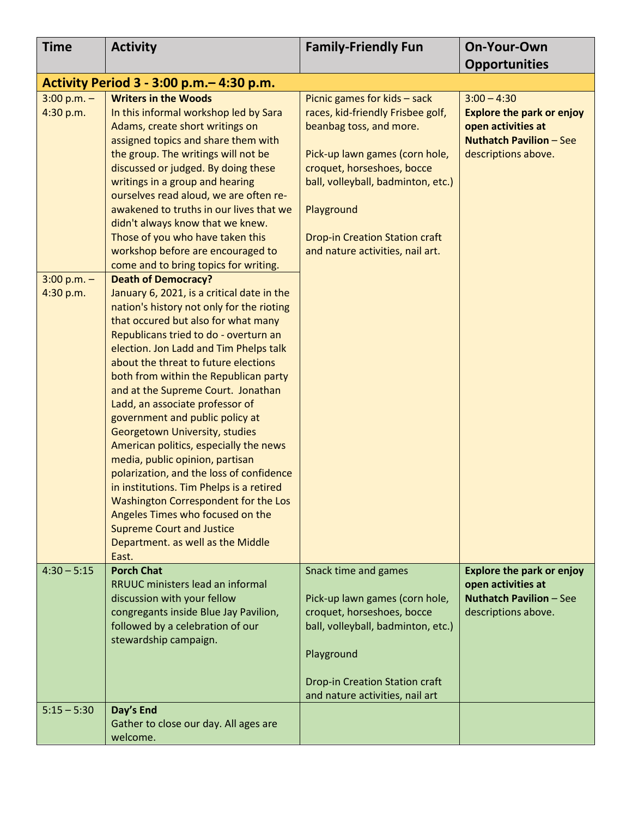| <b>Time</b>                | <b>Activity</b>                                                                                                                                                                                                                                                                                                                                                                                                                                                                                                                                                                                                                                                                                                                                                                                                   | <b>Family-Friendly Fun</b>                                                                                                                                                                                                                                                                    | On-Your-Own                                                                                                                      |
|----------------------------|-------------------------------------------------------------------------------------------------------------------------------------------------------------------------------------------------------------------------------------------------------------------------------------------------------------------------------------------------------------------------------------------------------------------------------------------------------------------------------------------------------------------------------------------------------------------------------------------------------------------------------------------------------------------------------------------------------------------------------------------------------------------------------------------------------------------|-----------------------------------------------------------------------------------------------------------------------------------------------------------------------------------------------------------------------------------------------------------------------------------------------|----------------------------------------------------------------------------------------------------------------------------------|
|                            |                                                                                                                                                                                                                                                                                                                                                                                                                                                                                                                                                                                                                                                                                                                                                                                                                   |                                                                                                                                                                                                                                                                                               | <b>Opportunities</b>                                                                                                             |
|                            | Activity Period 3 - 3:00 p.m. - 4:30 p.m.                                                                                                                                                                                                                                                                                                                                                                                                                                                                                                                                                                                                                                                                                                                                                                         |                                                                                                                                                                                                                                                                                               |                                                                                                                                  |
| $3:00 p.m. -$<br>4:30 p.m. | <b>Writers in the Woods</b><br>In this informal workshop led by Sara<br>Adams, create short writings on<br>assigned topics and share them with<br>the group. The writings will not be<br>discussed or judged. By doing these<br>writings in a group and hearing<br>ourselves read aloud, we are often re-<br>awakened to truths in our lives that we<br>didn't always know that we knew.<br>Those of you who have taken this<br>workshop before are encouraged to<br>come and to bring topics for writing.                                                                                                                                                                                                                                                                                                        | Picnic games for kids - sack<br>races, kid-friendly Frisbee golf,<br>beanbag toss, and more.<br>Pick-up lawn games (corn hole,<br>croquet, horseshoes, bocce<br>ball, volleyball, badminton, etc.)<br>Playground<br><b>Drop-in Creation Station craft</b><br>and nature activities, nail art. | $3:00 - 4:30$<br><b>Explore the park or enjoy</b><br>open activities at<br><b>Nuthatch Pavilion - See</b><br>descriptions above. |
| $3:00 p.m. -$<br>4:30 p.m. | <b>Death of Democracy?</b><br>January 6, 2021, is a critical date in the<br>nation's history not only for the rioting<br>that occured but also for what many<br>Republicans tried to do - overturn an<br>election. Jon Ladd and Tim Phelps talk<br>about the threat to future elections<br>both from within the Republican party<br>and at the Supreme Court. Jonathan<br>Ladd, an associate professor of<br>government and public policy at<br>Georgetown University, studies<br>American politics, especially the news<br>media, public opinion, partisan<br>polarization, and the loss of confidence<br>in institutions. Tim Phelps is a retired<br>Washington Correspondent for the Los<br>Angeles Times who focused on the<br><b>Supreme Court and Justice</b><br>Department. as well as the Middle<br>East. |                                                                                                                                                                                                                                                                                               |                                                                                                                                  |
| $4:30 - 5:15$              | <b>Porch Chat</b><br>RRUUC ministers lead an informal<br>discussion with your fellow<br>congregants inside Blue Jay Pavilion,<br>followed by a celebration of our<br>stewardship campaign.                                                                                                                                                                                                                                                                                                                                                                                                                                                                                                                                                                                                                        | Snack time and games<br>Pick-up lawn games (corn hole,<br>croquet, horseshoes, bocce<br>ball, volleyball, badminton, etc.)<br>Playground<br><b>Drop-in Creation Station craft</b><br>and nature activities, nail art                                                                          | <b>Explore the park or enjoy</b><br>open activities at<br><b>Nuthatch Pavilion - See</b><br>descriptions above.                  |
| $5:15 - 5:30$              | Day's End<br>Gather to close our day. All ages are<br>welcome.                                                                                                                                                                                                                                                                                                                                                                                                                                                                                                                                                                                                                                                                                                                                                    |                                                                                                                                                                                                                                                                                               |                                                                                                                                  |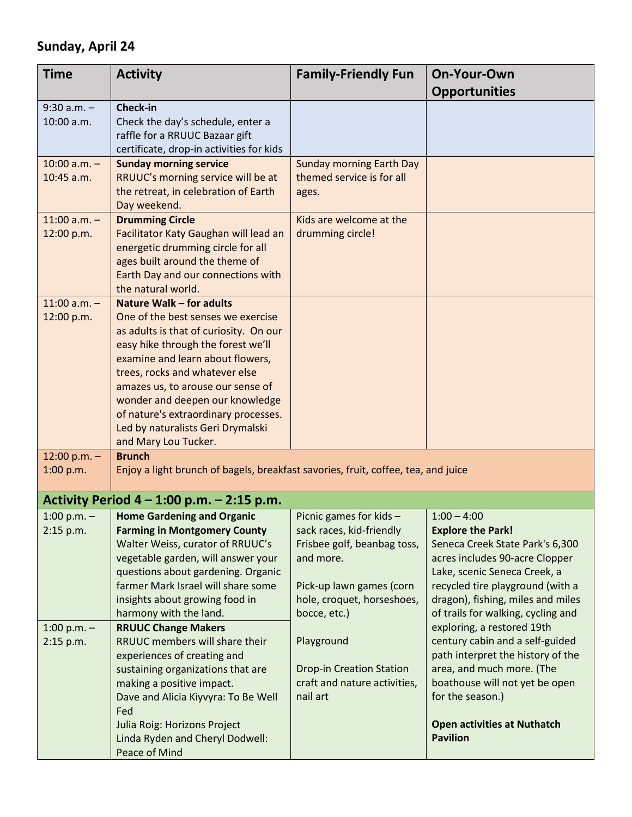## **Sunday, April 24**

| <b>Time</b>                                              | <b>Activity</b>                                                                                                                                                                                                                                                                                                                                                                                   | <b>Family-Friendly Fun</b>                                                                                                                                                              | <b>On-Your-Own</b><br><b>Opportunities</b>                                                                                                                                                                                                                                                                                                                          |
|----------------------------------------------------------|---------------------------------------------------------------------------------------------------------------------------------------------------------------------------------------------------------------------------------------------------------------------------------------------------------------------------------------------------------------------------------------------------|-----------------------------------------------------------------------------------------------------------------------------------------------------------------------------------------|---------------------------------------------------------------------------------------------------------------------------------------------------------------------------------------------------------------------------------------------------------------------------------------------------------------------------------------------------------------------|
| $9:30$ a.m. $-$<br>10:00 a.m.                            | Check-in<br>Check the day's schedule, enter a<br>raffle for a RRUUC Bazaar gift<br>certificate, drop-in activities for kids                                                                                                                                                                                                                                                                       |                                                                                                                                                                                         |                                                                                                                                                                                                                                                                                                                                                                     |
| $10:00$ a.m. $-$<br>$10:45$ a.m.                         | <b>Sunday morning service</b><br>RRUUC's morning service will be at<br>the retreat, in celebration of Earth<br>Day weekend.                                                                                                                                                                                                                                                                       | <b>Sunday morning Earth Day</b><br>themed service is for all<br>ages.                                                                                                                   |                                                                                                                                                                                                                                                                                                                                                                     |
| $11:00$ a.m. -<br>12:00 p.m.                             | <b>Drumming Circle</b><br>Facilitator Katy Gaughan will lead an<br>energetic drumming circle for all<br>ages built around the theme of<br>Earth Day and our connections with<br>the natural world.                                                                                                                                                                                                | Kids are welcome at the<br>drumming circle!                                                                                                                                             |                                                                                                                                                                                                                                                                                                                                                                     |
| $11:00$ a.m. -<br>12:00 p.m.                             | Nature Walk - for adults<br>One of the best senses we exercise<br>as adults is that of curiosity. On our<br>easy hike through the forest we'll<br>examine and learn about flowers,<br>trees, rocks and whatever else<br>amazes us, to arouse our sense of<br>wonder and deepen our knowledge<br>of nature's extraordinary processes.<br>Led by naturalists Geri Drymalski<br>and Mary Lou Tucker. |                                                                                                                                                                                         |                                                                                                                                                                                                                                                                                                                                                                     |
| 12:00 p.m. $-$<br>1:00 p.m.                              | <b>Brunch</b><br>Enjoy a light brunch of bagels, breakfast savories, fruit, coffee, tea, and juice                                                                                                                                                                                                                                                                                                |                                                                                                                                                                                         |                                                                                                                                                                                                                                                                                                                                                                     |
|                                                          | Activity Period $4 - 1:00$ p.m. $- 2:15$ p.m.                                                                                                                                                                                                                                                                                                                                                     |                                                                                                                                                                                         |                                                                                                                                                                                                                                                                                                                                                                     |
| 1:00 p.m. $-$<br>2:15 p.m.<br>1:00 p.m. $-$<br>2:15 p.m. | <b>Home Gardening and Organic</b><br><b>Farming in Montgomery County</b><br>Walter Weiss, curator of RRUUC's<br>vegetable garden, will answer your<br>questions about gardening. Organic<br>farmer Mark Israel will share some<br>insights about growing food in<br>harmony with the land.<br><b>RRUUC Change Makers</b><br>RRUUC members will share their<br>experiences of creating and         | Picnic games for kids -<br>sack races, kid-friendly<br>Frisbee golf, beanbag toss,<br>and more.<br>Pick-up lawn games (corn<br>hole, croquet, horseshoes,<br>bocce, etc.)<br>Playground | $1:00 - 4:00$<br><b>Explore the Park!</b><br>Seneca Creek State Park's 6,300<br>acres includes 90-acre Clopper<br>Lake, scenic Seneca Creek, a<br>recycled tire playground (with a<br>dragon), fishing, miles and miles<br>of trails for walking, cycling and<br>exploring, a restored 19th<br>century cabin and a self-guided<br>path interpret the history of the |
|                                                          | sustaining organizations that are<br>making a positive impact.<br>Dave and Alicia Kiyvyra: To Be Well<br>Fed<br>Julia Roig: Horizons Project<br>Linda Ryden and Cheryl Dodwell:<br>Peace of Mind                                                                                                                                                                                                  | <b>Drop-in Creation Station</b><br>craft and nature activities,<br>nail art                                                                                                             | area, and much more. (The<br>boathouse will not yet be open<br>for the season.)<br><b>Open activities at Nuthatch</b><br><b>Pavilion</b>                                                                                                                                                                                                                            |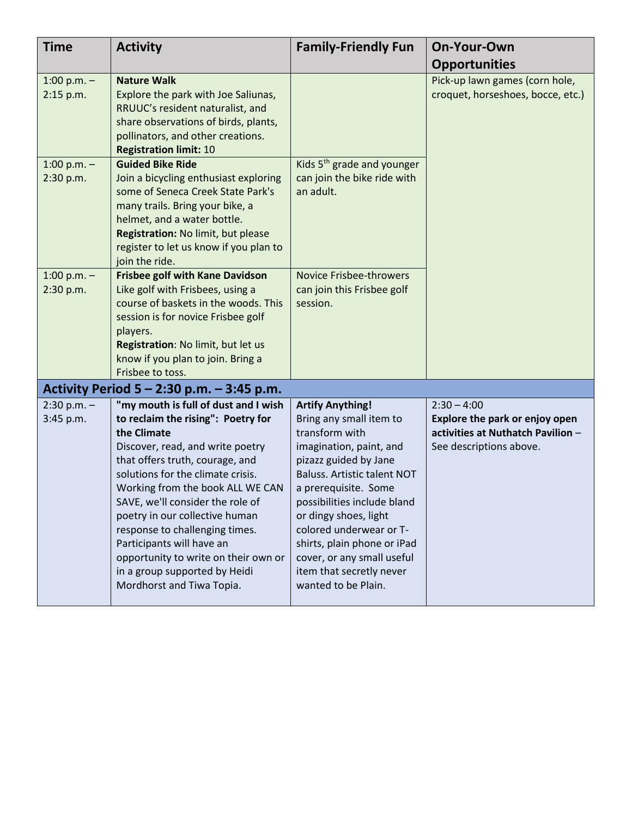| <b>Time</b>                | <b>Activity</b>                                                                                                                                                                                                                                                                                                                                                                                                                                                                      | <b>Family-Friendly Fun</b>                                                                                                                                                                                                                                                                                                                                                                | <b>On-Your-Own</b>                                                                                              |
|----------------------------|--------------------------------------------------------------------------------------------------------------------------------------------------------------------------------------------------------------------------------------------------------------------------------------------------------------------------------------------------------------------------------------------------------------------------------------------------------------------------------------|-------------------------------------------------------------------------------------------------------------------------------------------------------------------------------------------------------------------------------------------------------------------------------------------------------------------------------------------------------------------------------------------|-----------------------------------------------------------------------------------------------------------------|
|                            |                                                                                                                                                                                                                                                                                                                                                                                                                                                                                      |                                                                                                                                                                                                                                                                                                                                                                                           | <b>Opportunities</b>                                                                                            |
| 1:00 p.m. $-$<br>2:15 p.m. | <b>Nature Walk</b><br>Explore the park with Joe Saliunas,<br>RRUUC's resident naturalist, and<br>share observations of birds, plants,<br>pollinators, and other creations.<br><b>Registration limit: 10</b>                                                                                                                                                                                                                                                                          |                                                                                                                                                                                                                                                                                                                                                                                           | Pick-up lawn games (corn hole,<br>croquet, horseshoes, bocce, etc.)                                             |
| 1:00 p.m. $-$<br>2:30 p.m. | <b>Guided Bike Ride</b><br>Join a bicycling enthusiast exploring<br>some of Seneca Creek State Park's<br>many trails. Bring your bike, a<br>helmet, and a water bottle.<br>Registration: No limit, but please<br>register to let us know if you plan to<br>join the ride.                                                                                                                                                                                                            | Kids 5 <sup>th</sup> grade and younger<br>can join the bike ride with<br>an adult.                                                                                                                                                                                                                                                                                                        |                                                                                                                 |
| 1:00 p.m. $-$<br>2:30 p.m. | <b>Frisbee golf with Kane Davidson</b><br>Like golf with Frisbees, using a<br>course of baskets in the woods. This<br>session is for novice Frisbee golf<br>players.<br>Registration: No limit, but let us<br>know if you plan to join. Bring a<br>Frisbee to toss.                                                                                                                                                                                                                  | <b>Novice Frisbee-throwers</b><br>can join this Frisbee golf<br>session.                                                                                                                                                                                                                                                                                                                  |                                                                                                                 |
|                            | Activity Period $5 - 2:30$ p.m. $- 3:45$ p.m.                                                                                                                                                                                                                                                                                                                                                                                                                                        |                                                                                                                                                                                                                                                                                                                                                                                           |                                                                                                                 |
| $2:30 p.m. -$<br>3:45 p.m. | "my mouth is full of dust and I wish<br>to reclaim the rising": Poetry for<br>the Climate<br>Discover, read, and write poetry<br>that offers truth, courage, and<br>solutions for the climate crisis.<br>Working from the book ALL WE CAN<br>SAVE, we'll consider the role of<br>poetry in our collective human<br>response to challenging times.<br>Participants will have an<br>opportunity to write on their own or<br>in a group supported by Heidi<br>Mordhorst and Tiwa Topia. | <b>Artify Anything!</b><br>Bring any small item to<br>transform with<br>imagination, paint, and<br>pizazz guided by Jane<br><b>Baluss. Artistic talent NOT</b><br>a prerequisite. Some<br>possibilities include bland<br>or dingy shoes, light<br>colored underwear or T-<br>shirts, plain phone or iPad<br>cover, or any small useful<br>item that secretly never<br>wanted to be Plain. | $2:30 - 4:00$<br>Explore the park or enjoy open<br>activities at Nuthatch Pavilion -<br>See descriptions above. |